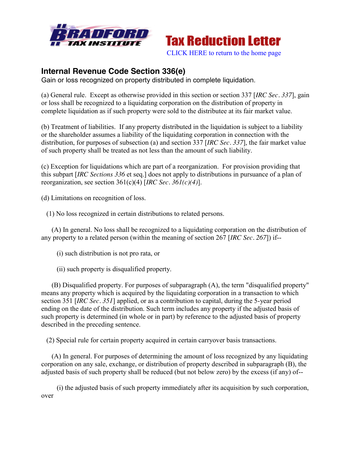



[CLICK HERE to return to the home page](http://bradfordtaxinstitute.com/index1.aspx) 

## **Internal Revenue Code Section 336(e)**

Gain or loss recognized on property distributed in complete liquidation.

(a) General rule. Except as otherwise provided in this section or section 337 [*IRC Sec. 337*], gain or loss shall be recognized to a liquidating corporation on the distribution of property in complete liquidation as if such property were sold to the distributee at its fair market value.

(b) Treatment of liabilities. If any property distributed in the liquidation is subject to a liability or the shareholder assumes a liability of the liquidating corporation in connection with the distribution, for purposes of subsection (a) and section 337 [*IRC Sec. 337*], the fair market value of such property shall be treated as not less than the amount of such liability.

(c) Exception for liquidations which are part of a reorganization. For provision providing that this subpart [*IRC Sections 336* et seq.] does not apply to distributions in pursuance of a plan of reorganization, see section 361(c)(4) [*IRC Sec. 361(c)(4)*].

(d) Limitations on recognition of loss.

(1) No loss recognized in certain distributions to related persons.

 (A) In general. No loss shall be recognized to a liquidating corporation on the distribution of any property to a related person (within the meaning of section 267 [*IRC Sec. 267*]) if--

(i) such distribution is not pro rata, or

(ii) such property is disqualified property.

 (B) Disqualified property. For purposes of subparagraph (A), the term "disqualified property" means any property which is acquired by the liquidating corporation in a transaction to which section 351 [*IRC Sec. 351*] applied, or as a contribution to capital, during the 5-year period ending on the date of the distribution. Such term includes any property if the adjusted basis of such property is determined (in whole or in part) by reference to the adjusted basis of property described in the preceding sentence.

(2) Special rule for certain property acquired in certain carryover basis transactions.

 (A) In general. For purposes of determining the amount of loss recognized by any liquidating corporation on any sale, exchange, or distribution of property described in subparagraph (B), the adjusted basis of such property shall be reduced (but not below zero) by the excess (if any) of--

 (i) the adjusted basis of such property immediately after its acquisition by such corporation, over